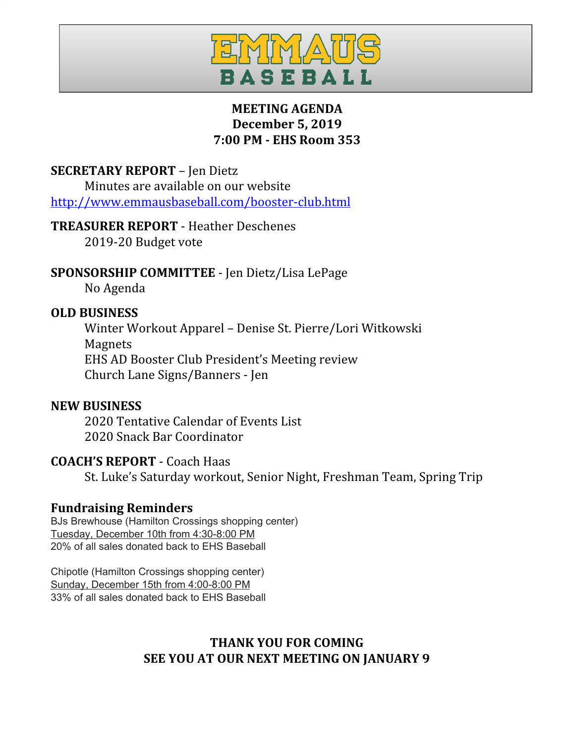

## **MEETING AGENDA December 5, 2019 7:00 PM - EHS Room 353**

### **SECRETARY REPORT** – Jen Dietz

Minutes are available on our website <http://www.emmausbaseball.com/booster-club.html>

### **TREASURER REPORT** - Heather Deschenes

2019-20 Budget vote

## **SPONSORSHIP COMMITTEE** - Jen Dietz/Lisa LePage

No Agenda

### **OLD BUSINESS**

Winter Workout Apparel – Denise St. Pierre/Lori Witkowski Magnets EHS AD Booster Club President's Meeting review Church Lane Signs/Banners - Jen

### **NEW BUSINESS**

2020 Tentative Calendar of Events List 2020 Snack Bar Coordinator

## **COACH'S REPORT** - Coach Haas

St. Luke's Saturday workout, Senior Night, Freshman Team, Spring Trip

## **Fundraising Reminders**

BJs Brewhouse (Hamilton Crossings shopping center) Tuesday, December 10th from 4:30-8:00 PM 20% of all sales donated back to EHS Baseball

Chipotle (Hamilton Crossings shopping center) Sunday, December 15th from 4:00-8:00 PM 33% of all sales donated back to EHS Baseball

# **THANK YOU FOR COMING SEE YOU AT OUR NEXT MEETING ON JANUARY 9**